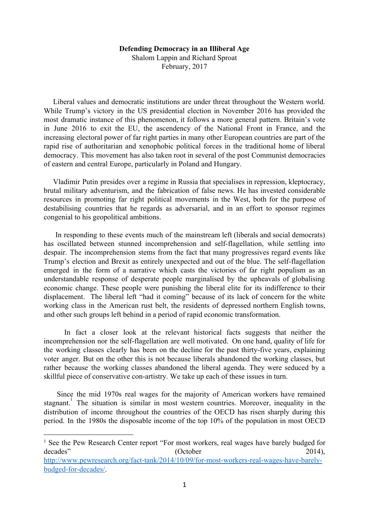## **Defending Democracy in an Illiberal Age**

Shalom Lappin and Richard Sproat February, 2017

Liberal values and democratic institutions are under threat throughout the Western world. While Trump's victory in the US presidential election in November 2016 has provided the most dramatic instance of this phenomenon, it follows a more general pattern. Britain's vote in June 2016 to exit the EU, the ascendency of the National Front in France, and the increasing electoral power of far right parties in many other European countries are part of the rapid rise of authoritarian and xenophobic political forces in the traditional home of liberal democracy. This movement has also taken root in several of the post Communist democracies of eastern and central Europe, particularly in Poland and Hungary.

Vladimir Putin presides over a regime in Russia that specialises in repression, kleptocracy, brutal military adventurism, and the fabrication of false news. He has invested considerable resources in promoting far right political movements in the West, both for the purpose of destabilising countries that he regards as adversarial, and in an effort to sponsor regimes congenial to his geopolitical ambitions.

In responding to these events much of the mainstream left (liberals and social democrats) has oscillated between stunned incomprehension and self-flagellation, while settling into despair. The incomprehension stems from the fact that many progressives regard events like Trump's election and Brexit as entirely unexpected and out of the blue. The self-flagellation emerged in the form of a narrative which casts the victories of far right populism as an understandable response of desperate people marginalised by the upheavals of globalising economic change. These people were punishing the liberal elite for its indifference to their displacement. The liberal left "had it coming" because of its lack of concern for the white working class in the American rust belt, the residents of depressed northern English towns, and other such groups left behind in a period of rapid economic transformation.

In fact a closer look at the relevant historical facts suggests that neither the incomprehension nor the self-flagellation are well motivated. On one hand, quality of life for the working classes clearly has been on the decline for the past thirty-five years, explaining voter anger. But on the other this is not because liberals abandoned the working classes, but rather because the working classes abandoned the liberal agenda. They were seduced by a skillful piece of conservative con-artistry. We take up each of these issues in turn.

Since the mid 1970s real wages for the majority of American workers have remained stagnant. The situation is similar in most western countries. Moreover, inequality in the distribution of income throughout the countries of the OECD has risen sharply during this period. In the 1980s the disposable income of the top 10% of the population in most OECD

<sup>&</sup>lt;sup>1</sup> See the Pew Research Center report "For most workers, real wages have barely budged for decades" (October 2014),

[http://www.pewresearch.org/fact-tank/2014/10/09/for-most-workers-real-wages-have-barely](http://www.pewresearch.org/fact-tank/2014/10/09/for-most-workers-real-wages-have-barely-budged-for-decades/)[budged-for-decades/.](http://www.pewresearch.org/fact-tank/2014/10/09/for-most-workers-real-wages-have-barely-budged-for-decades/)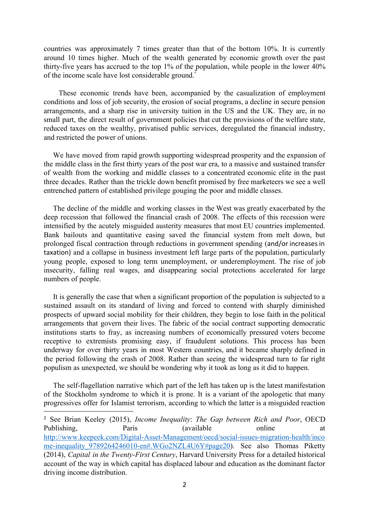countries was approximately 7 times greater than that of the bottom 10%. It is currently around 10 times higher. Much of the wealth generated by economic growth over the past thirty-five years has accrued to the top 1% of the population, while people in the lower 40% of the income scale have lost considerable ground.<sup>2</sup>

These economic trends have been, accompanied by the casualization of employment conditions and loss of job security, the erosion of social programs, a decline in secure pension arrangements, and a sharp rise in university tuition in the US and the UK. They are, in no small part, the direct result of government policies that cut the provisions of the welfare state, reduced taxes on the wealthy, privatised public services, deregulated the financial industry, and restricted the power of unions.

We have moved from rapid growth supporting widespread prosperity and the expansion of the middle class in the first thirty years of the post war era, to a massive and sustained transfer of wealth from the working and middle classes to a concentrated economic elite in the past three decades. Rather than the trickle down benefit promised by free marketeers we see a well entrenched pattern of established privilege gouging the poor and middle classes.

The decline of the middle and working classes in the West was greatly exacerbated by the deep recession that followed the financial crash of 2008. The effects of this recession were intensified by the acutely misguided austerity measures that most EU countries implemented. Bank bailouts and quantitative easing saved the financial system from melt down, but prolonged fiscal contraction through reductions in government spending (and/or increasesin taxation) and a collapse in business investment left large parts of the population, particularly young people, exposed to long term unemployment, or underemployment. The rise of job insecurity, falling real wages, and disappearing social protections accelerated for large numbers of people.

It is generally the case that when a significant proportion of the population is subjected to a sustained assault on its standard of living and forced to contend with sharply diminished prospects of upward social mobility for their children, they begin to lose faith in the political arrangements that govern their lives. The fabric of the social contract supporting democratic institutions starts to fray, as increasing numbers of economically pressured voters become receptive to extremists promising easy, if fraudulent solutions. This process has been underway for over thirty years in most Western countries, and it became sharply defined in the period following the crash of 2008. Rather than seeing the widespread turn to far right populism as unexpected, we should be wondering why it took as long as it did to happen.

The self-flagellation narrative which part of the left has taken up is the latest manifestation of the Stockholm syndrome to which it is prone. It is a variant of the apologetic that many progressives offer for Islamist terrorism, according to which the latter is a misguided reaction

<sup>2</sup> See Brian Keeley (2015), *Income Inequality*: *The Gap between Rich and Poor*, OECD Publishing, Paris (available online at [http://www.keepeek.com/Digital-Asset-Management/oecd/social-issues-migration-health/inco](http://www.keepeek.com/Digital-Asset-Management/oecd/social-issues-migration-health/income-inequality_9789264246010-en#.WGo2NZL4U6Y) me-inequality 9789264246010-en#.WGo2NZL4U6Y#page20). See also Thomas Piketty (2014), *Capital in the Twenty-First Century*, Harvard University Press for a detailed historical account of the way in which capital has displaced labour and education as the dominant factor driving income distribution.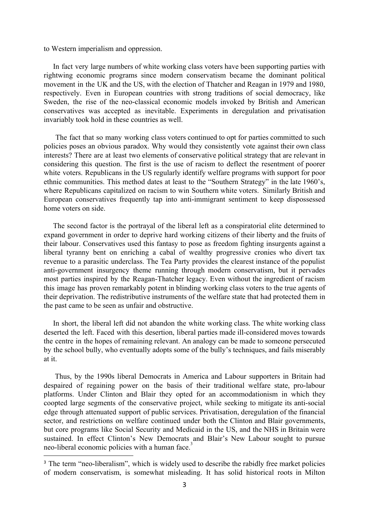to Western imperialism and oppression.

In fact very large numbers of white working class voters have been supporting parties with rightwing economic programs since modern conservatism became the dominant political movement in the UK and the US, with the election of Thatcher and Reagan in 1979 and 1980, respectively. Even in European countries with strong traditions of social democracy, like Sweden, the rise of the neo-classical economic models invoked by British and American conservatives was accepted as inevitable. Experiments in deregulation and privatisation invariably took hold in these countries as well.

The fact that so many working class voters continued to opt for parties committed to such policies poses an obvious paradox. Why would they consistently vote against their own class interests? There are at least two elements of conservative political strategy that are relevant in considering this question. The first is the use of racism to deflect the resentment of poorer white voters. Republicans in the US regularly identify welfare programs with support for poor ethnic communities. This method dates at least to the "Southern Strategy" in the late 1960's, where Republicans capitalized on racism to win Southern white voters. Similarly British and European conservatives frequently tap into anti-immigrant sentiment to keep dispossessed home voters on side.

The second factor is the portrayal of the liberal left as a conspiratorial elite determined to expand government in order to deprive hard working citizens of their liberty and the fruits of their labour. Conservatives used this fantasy to pose as freedom fighting insurgents against a liberal tyranny bent on enriching a cabal of wealthy progressive cronies who divert tax revenue to a parasitic underclass. The Tea Party provides the clearest instance of the populist anti-government insurgency theme running through modern conservatism, but it pervades most parties inspired by the Reagan-Thatcher legacy. Even without the ingredient of racism this image has proven remarkably potent in blinding working class voters to the true agents of their deprivation. The redistributive instruments of the welfare state that had protected them in the past came to be seen as unfair and obstructive.

In short, the liberal left did not abandon the white working class. The white working class deserted the left. Faced with this desertion, liberal parties made ill-considered moves towards the centre in the hopes of remaining relevant. An analogy can be made to someone persecuted by the school bully, who eventually adopts some of the bully's techniques, and fails miserably at it.

Thus, by the 1990s liberal Democrats in America and Labour supporters in Britain had despaired of regaining power on the basis of their traditional welfare state, pro-labour platforms. Under Clinton and Blair they opted for an accommodationism in which they coopted large segments of the conservative project, while seeking to mitigate its anti-social edge through attenuated support of public services. Privatisation, deregulation of the financial sector, and restrictions on welfare continued under both the Clinton and Blair governments, but core programs like Social Security and Medicaid in the US, and the NHS in Britain were sustained. In effect Clinton's New Democrats and Blair's New Labour sought to pursue neo-liberal economic policies with a human face.<sup>3</sup>

<sup>&</sup>lt;sup>3</sup> The term "neo-liberalism", which is widely used to describe the rabidly free market policies of modern conservatism, is somewhat misleading. It has solid historical roots in Milton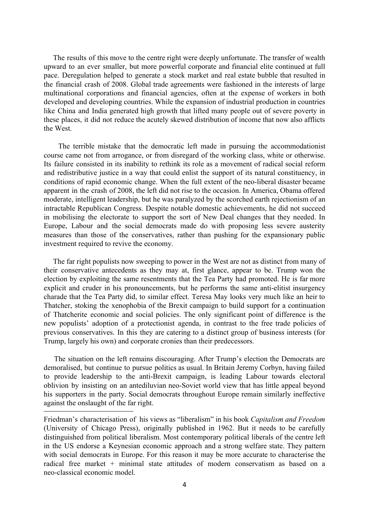The results of this move to the centre right were deeply unfortunate. The transfer of wealth upward to an ever smaller, but more powerful corporate and financial elite continued at full pace. Deregulation helped to generate a stock market and real estate bubble that resulted in the financial crash of 2008. Global trade agreements were fashioned in the interests of large multinational corporations and financial agencies, often at the expense of workers in both developed and developing countries. While the expansion of industrial production in countries like China and India generated high growth that lifted many people out of severe poverty in these places, it did not reduce the acutely skewed distribution of income that now also afflicts the West.

The terrible mistake that the democratic left made in pursuing the accommodationist course came not from arrogance, or from disregard of the working class, white or otherwise. Its failure consisted in its inability to rethink its role as a movement of radical social reform and redistributive justice in a way that could enlist the support of its natural constituency, in conditions of rapid economic change. When the full extent of the neo-liberal disaster became apparent in the crash of 2008, the left did not rise to the occasion. In America, Obama offered moderate, intelligent leadership, but he was paralyzed by the scorched earth rejectionism of an intractable Republican Congress. Despite notable domestic achievements, he did not succeed in mobilising the electorate to support the sort of New Deal changes that they needed. In Europe, Labour and the social democrats made do with proposing less severe austerity measures than those of the conservatives, rather than pushing for the expansionary public investment required to revive the economy.

The far right populists now sweeping to power in the West are not as distinct from many of their conservative antecedents as they may at, first glance, appear to be. Trump won the election by exploiting the same resentments that the Tea Party had promoted. He is far more explicit and cruder in his pronouncements, but he performs the same anti-elitist insurgency charade that the Tea Party did, to similar effect. Teresa May looks very much like an heir to Thatcher, stoking the xenophobia of the Brexit campaign to build support for a continuation of Thatcherite economic and social policies. The only significant point of difference is the new populists' adoption of a protectionist agenda, in contrast to the free trade policies of previous conservatives. In this they are catering to a distinct group of business interests (for Trump, largely his own) and corporate cronies than their predecessors.

The situation on the left remains discouraging. After Trump's election the Democrats are demoralised, but continue to pursue politics as usual. In Britain Jeremy Corbyn, having failed to provide leadership to the anti-Brexit campaign, is leading Labour towards electoral oblivion by insisting on an antediluvian neo-Soviet world view that has little appeal beyond his supporters in the party. Social democrats throughout Europe remain similarly ineffective against the onslaught of the far right.

Friedman's characterisation of his views as "liberalism" in his book *Capitalism and Freedom* (University of Chicago Press), originally published in 1962. But it needs to be carefully distinguished from political liberalism. Most contemporary political liberals of the centre left in the US endorse a Keynesian economic approach and a strong welfare state. They pattern with social democrats in Europe. For this reason it may be more accurate to characterise the radical free market + minimal state attitudes of modern conservatism as based on a neo-classical economic model.